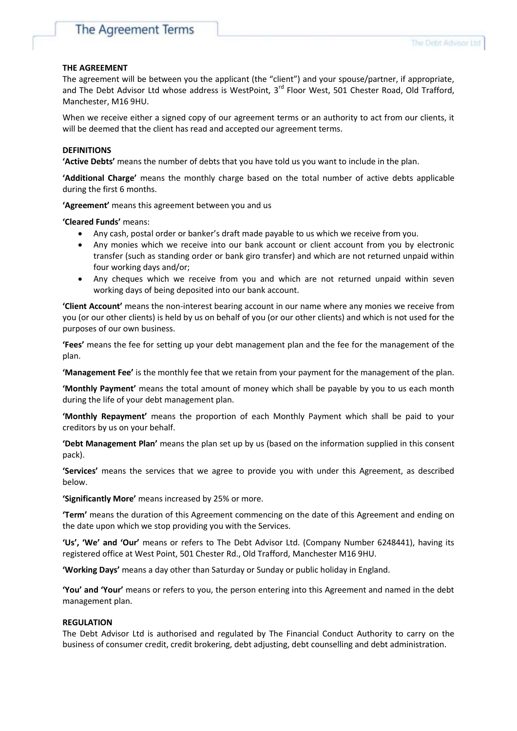#### **THE AGREEMENT**

The agreement will be between you the applicant (the "client") and your spouse/partner, if appropriate, and The Debt Advisor Ltd whose address is WestPoint, 3<sup>rd</sup> Floor West, 501 Chester Road, Old Trafford, Manchester, M16 9HU.

When we receive either a signed copy of our agreement terms or an authority to act from our clients, it will be deemed that the client has read and accepted our agreement terms.

#### **DEFINITIONS**

**'Active Debts'** means the number of debts that you have told us you want to include in the plan.

**'Additional Charge'** means the monthly charge based on the total number of active debts applicable during the first 6 months.

**'Agreement'** means this agreement between you and us

**'Cleared Funds'** means:

- Any cash, postal order or banker's draft made payable to us which we receive from you.
- Any monies which we receive into our bank account or client account from you by electronic transfer (such as standing order or bank giro transfer) and which are not returned unpaid within four working days and/or;
- Any cheques which we receive from you and which are not returned unpaid within seven working days of being deposited into our bank account.

**'Client Account'** means the non-interest bearing account in our name where any monies we receive from you (or our other clients) is held by us on behalf of you (or our other clients) and which is not used for the purposes of our own business.

**'Fees'** means the fee for setting up your debt management plan and the fee for the management of the plan.

**'Management Fee'** is the monthly fee that we retain from your payment for the management of the plan.

**'Monthly Payment'** means the total amount of money which shall be payable by you to us each month during the life of your debt management plan.

**'Monthly Repayment'** means the proportion of each Monthly Payment which shall be paid to your creditors by us on your behalf.

**'Debt Management Plan'** means the plan set up by us (based on the information supplied in this consent pack).

**'Services'** means the services that we agree to provide you with under this Agreement, as described below.

**'Significantly More'** means increased by 25% or more.

**'Term'** means the duration of this Agreement commencing on the date of this Agreement and ending on the date upon which we stop providing you with the Services.

**'Us', 'We' and 'Our'** means or refers to The Debt Advisor Ltd. (Company Number 6248441), having its registered office at West Point, 501 Chester Rd., Old Trafford, Manchester M16 9HU.

**'Working Days'** means a day other than Saturday or Sunday or public holiday in England.

**'You' and 'Your'** means or refers to you, the person entering into this Agreement and named in the debt management plan.

#### **REGULATION**

The Debt Advisor Ltd is authorised and regulated by The Financial Conduct Authority to carry on the business of consumer credit, credit brokering, debt adjusting, debt counselling and debt administration.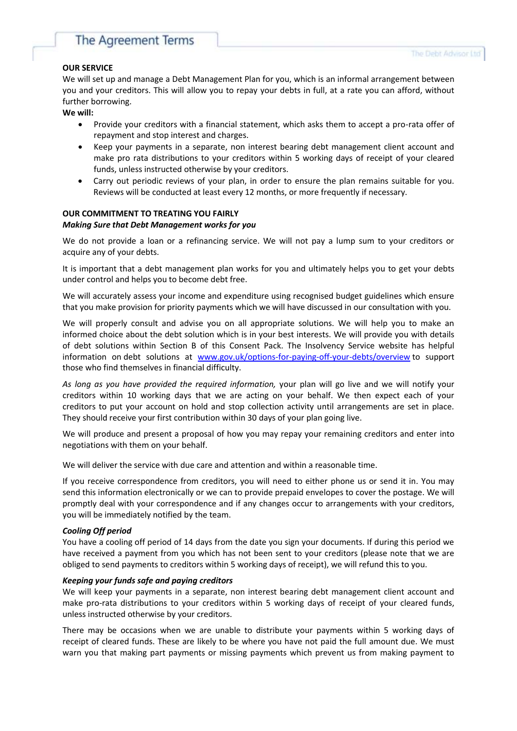# The Agreement Terms

## **OUR SERVICE**

We will set up and manage a Debt Management Plan for you, which is an informal arrangement between you and your creditors. This will allow you to repay your debts in full, at a rate you can afford, without further borrowing.

**We will:**

- Provide your creditors with a financial statement, which asks them to accept a pro-rata offer of repayment and stop interest and charges.
- Keep your payments in a separate, non interest bearing debt management client account and make pro rata distributions to your creditors within 5 working days of receipt of your cleared funds, unless instructed otherwise by your creditors.
- Carry out periodic reviews of your plan, in order to ensure the plan remains suitable for you. Reviews will be conducted at least every 12 months, or more frequently if necessary.

## **OUR COMMITMENT TO TREATING YOU FAIRLY** *Making Sure that Debt Management works for you*

We do not provide a loan or a refinancing service. We will not pay a lump sum to your creditors or acquire any of your debts.

It is important that a debt management plan works for you and ultimately helps you to get your debts under control and helps you to become debt free.

We will accurately assess your income and expenditure using recognised budget guidelines which ensure that you make provision for priority payments which we will have discussed in our consultation with you.

We will properly consult and advise you on all appropriate solutions. We will help you to make an informed choice about the debt solution which is in your best interests. We will provide you with details of debt solutions within Section B of this Consent Pack. The Insolvency Service website has helpful information on debt solutions at [www.gov.uk/options-for-paying-off-your-debts/overview](http://www.gov.uk/options-for-paying-off-your-debts/overview) to support those who find themselves in financial difficulty.

*As long as you have provided the required information,* your plan will go live and we will notify your creditors within 10 working days that we are acting on your behalf. We then expect each of your creditors to put your account on hold and stop collection activity until arrangements are set in place. They should receive your first contribution within 30 days of your plan going live.

We will produce and present a proposal of how you may repay your remaining creditors and enter into negotiations with them on your behalf.

We will deliver the service with due care and attention and within a reasonable time.

If you receive correspondence from creditors, you will need to either phone us or send it in. You may send this information electronically or we can to provide prepaid envelopes to cover the postage. We will promptly deal with your correspondence and if any changes occur to arrangements with your creditors, you will be immediately notified by the team.

## *Cooling Off period*

You have a cooling off period of 14 days from the date you sign your documents. If during this period we have received a payment from you which has not been sent to your creditors (please note that we are obliged to send payments to creditors within 5 working days of receipt), we will refund this to you.

## *Keeping your funds safe and paying creditors*

We will keep your payments in a separate, non interest bearing debt management client account and make pro-rata distributions to your creditors within 5 working days of receipt of your cleared funds, unless instructed otherwise by your creditors.

There may be occasions when we are unable to distribute your payments within 5 working days of receipt of cleared funds. These are likely to be where you have not paid the full amount due. We must warn you that making part payments or missing payments which prevent us from making payment to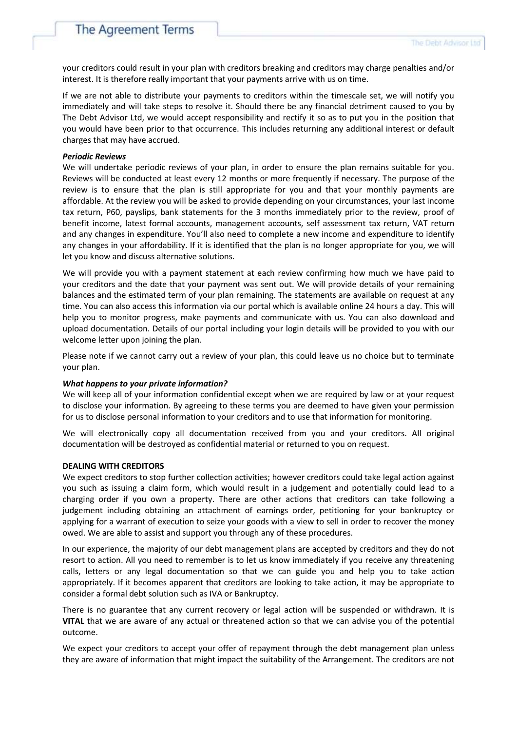your creditors could result in your plan with creditors breaking and creditors may charge penalties and/or interest. It is therefore really important that your payments arrive with us on time.

If we are not able to distribute your payments to creditors within the timescale set, we will notify you immediately and will take steps to resolve it. Should there be any financial detriment caused to you by The Debt Advisor Ltd, we would accept responsibility and rectify it so as to put you in the position that you would have been prior to that occurrence. This includes returning any additional interest or default charges that may have accrued.

#### *Periodic Reviews*

We will undertake periodic reviews of your plan, in order to ensure the plan remains suitable for you. Reviews will be conducted at least every 12 months or more frequently if necessary. The purpose of the review is to ensure that the plan is still appropriate for you and that your monthly payments are affordable. At the review you will be asked to provide depending on your circumstances, your last income tax return, P60, payslips, bank statements for the 3 months immediately prior to the review, proof of benefit income, latest formal accounts, management accounts, self assessment tax return, VAT return and any changes in expenditure. You'll also need to complete a new income and expenditure to identify any changes in your affordability. If it is identified that the plan is no longer appropriate for you, we will let you know and discuss alternative solutions.

We will provide you with a payment statement at each review confirming how much we have paid to your creditors and the date that your payment was sent out. We will provide details of your remaining balances and the estimated term of your plan remaining. The statements are available on request at any time. You can also access this information via our portal which is available online 24 hours a day. This will help you to monitor progress, make payments and communicate with us. You can also download and upload documentation. Details of our portal including your login details will be provided to you with our welcome letter upon joining the plan.

Please note if we cannot carry out a review of your plan, this could leave us no choice but to terminate your plan.

## *What happens to your private information?*

We will keep all of your information confidential except when we are required by law or at your request to disclose your information. By agreeing to these terms you are deemed to have given your permission for us to disclose personal information to your creditors and to use that information for monitoring.

We will electronically copy all documentation received from you and your creditors. All original documentation will be destroyed as confidential material or returned to you on request.

#### **DEALING WITH CREDITORS**

We expect creditors to stop further collection activities; however creditors could take legal action against you such as issuing a claim form, which would result in a judgement and potentially could lead to a charging order if you own a property. There are other actions that creditors can take following a judgement including obtaining an attachment of earnings order, petitioning for your bankruptcy or applying for a warrant of execution to seize your goods with a view to sell in order to recover the money owed. We are able to assist and support you through any of these procedures.

In our experience, the majority of our debt management plans are accepted by creditors and they do not resort to action. All you need to remember is to let us know immediately if you receive any threatening calls, letters or any legal documentation so that we can guide you and help you to take action appropriately. If it becomes apparent that creditors are looking to take action, it may be appropriate to consider a formal debt solution such as IVA or Bankruptcy.

There is no guarantee that any current recovery or legal action will be suspended or withdrawn. It is **VITAL** that we are aware of any actual or threatened action so that we can advise you of the potential outcome.

We expect your creditors to accept your offer of repayment through the debt management plan unless they are aware of information that might impact the suitability of the Arrangement. The creditors are not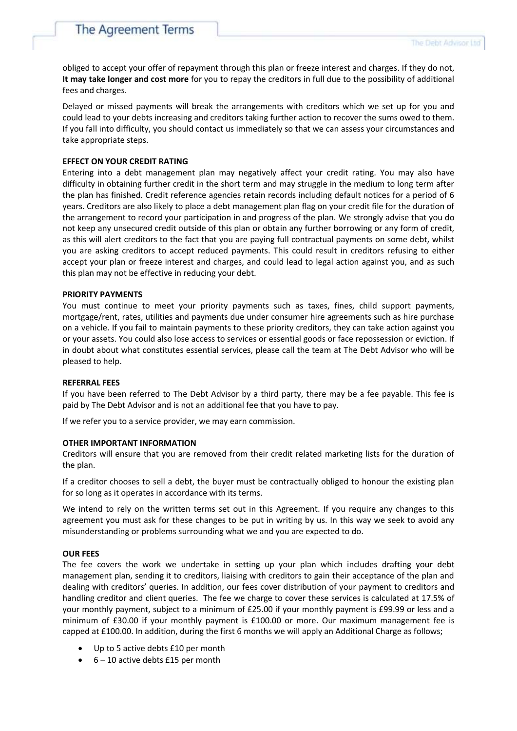obliged to accept your offer of repayment through this plan or freeze interest and charges. If they do not, **It may take longer and cost more** for you to repay the creditors in full due to the possibility of additional fees and charges.

Delayed or missed payments will break the arrangements with creditors which we set up for you and could lead to your debts increasing and creditors taking further action to recover the sums owed to them. If you fall into difficulty, you should contact us immediately so that we can assess your circumstances and take appropriate steps.

#### **EFFECT ON YOUR CREDIT RATING**

Entering into a debt management plan may negatively affect your credit rating. You may also have difficulty in obtaining further credit in the short term and may struggle in the medium to long term after the plan has finished. Credit reference agencies retain records including default notices for a period of 6 years. Creditors are also likely to place a debt management plan flag on your credit file for the duration of the arrangement to record your participation in and progress of the plan. We strongly advise that you do not keep any unsecured credit outside of this plan or obtain any further borrowing or any form of credit, as this will alert creditors to the fact that you are paying full contractual payments on some debt, whilst you are asking creditors to accept reduced payments. This could result in creditors refusing to either accept your plan or freeze interest and charges, and could lead to legal action against you, and as such this plan may not be effective in reducing your debt.

#### **PRIORITY PAYMENTS**

You must continue to meet your priority payments such as taxes, fines, child support payments, mortgage/rent, rates, utilities and payments due under consumer hire agreements such as hire purchase on a vehicle. If you fail to maintain payments to these priority creditors, they can take action against you or your assets. You could also lose access to services or essential goods or face repossession or eviction. If in doubt about what constitutes essential services, please call the team at The Debt Advisor who will be pleased to help.

#### **REFERRAL FEES**

If you have been referred to The Debt Advisor by a third party, there may be a fee payable. This fee is paid by The Debt Advisor and is not an additional fee that you have to pay.

If we refer you to a service provider, we may earn commission.

#### **OTHER IMPORTANT INFORMATION**

Creditors will ensure that you are removed from their credit related marketing lists for the duration of the plan.

If a creditor chooses to sell a debt, the buyer must be contractually obliged to honour the existing plan for so long as it operates in accordance with its terms.

We intend to rely on the written terms set out in this Agreement. If you require any changes to this agreement you must ask for these changes to be put in writing by us. In this way we seek to avoid any misunderstanding or problems surrounding what we and you are expected to do.

#### **OUR FEES**

The fee covers the work we undertake in setting up your plan which includes drafting your debt management plan, sending it to creditors, liaising with creditors to gain their acceptance of the plan and dealing with creditors' queries. In addition, our fees cover distribution of your payment to creditors and handling creditor and client queries. The fee we charge to cover these services is calculated at 17.5% of your monthly payment, subject to a minimum of £25.00 if your monthly payment is £99.99 or less and a minimum of £30.00 if your monthly payment is £100.00 or more. Our maximum management fee is capped at £100.00. In addition, during the first 6 months we will apply an Additional Charge as follows;

- Up to 5 active debts £10 per month
- 6 10 active debts £15 per month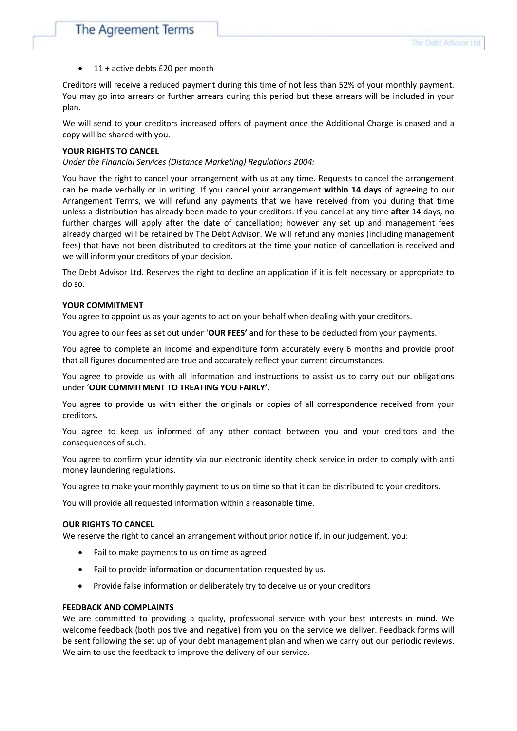11 + active debts £20 per month

Creditors will receive a reduced payment during this time of not less than 52% of your monthly payment. You may go into arrears or further arrears during this period but these arrears will be included in your plan.

We will send to your creditors increased offers of payment once the Additional Charge is ceased and a copy will be shared with you.

#### **YOUR RIGHTS TO CANCEL**

*Under the Financial Services (Distance Marketing) Regulations 2004:*

You have the right to cancel your arrangement with us at any time. Requests to cancel the arrangement can be made verbally or in writing. If you cancel your arrangement **within 14 days** of agreeing to our Arrangement Terms, we will refund any payments that we have received from you during that time unless a distribution has already been made to your creditors. If you cancel at any time **after** 14 days, no further charges will apply after the date of cancellation; however any set up and management fees already charged will be retained by The Debt Advisor. We will refund any monies (including management fees) that have not been distributed to creditors at the time your notice of cancellation is received and we will inform your creditors of your decision.

The Debt Advisor Ltd. Reserves the right to decline an application if it is felt necessary or appropriate to do so.

#### **YOUR COMMITMENT**

You agree to appoint us as your agents to act on your behalf when dealing with your creditors.

You agree to our fees as set out under '**OUR FEES'** and for these to be deducted from your payments.

You agree to complete an income and expenditure form accurately every 6 months and provide proof that all figures documented are true and accurately reflect your current circumstances.

You agree to provide us with all information and instructions to assist us to carry out our obligations under '**OUR COMMITMENT TO TREATING YOU FAIRLY'.**

You agree to provide us with either the originals or copies of all correspondence received from your creditors.

You agree to keep us informed of any other contact between you and your creditors and the consequences of such.

You agree to confirm your identity via our electronic identity check service in order to comply with anti money laundering regulations.

You agree to make your monthly payment to us on time so that it can be distributed to your creditors.

You will provide all requested information within a reasonable time.

#### **OUR RIGHTS TO CANCEL**

We reserve the right to cancel an arrangement without prior notice if, in our judgement, you:

- Fail to make payments to us on time as agreed
- Fail to provide information or documentation requested by us.
- Provide false information or deliberately try to deceive us or your creditors

#### **FEEDBACK AND COMPLAINTS**

We are committed to providing a quality, professional service with your best interests in mind. We welcome feedback (both positive and negative) from you on the service we deliver. Feedback forms will be sent following the set up of your debt management plan and when we carry out our periodic reviews. We aim to use the feedback to improve the delivery of our service.